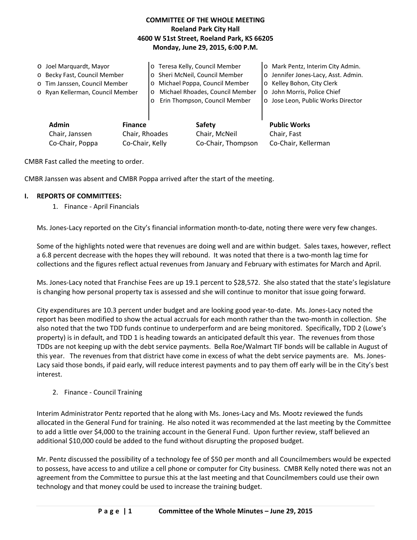# **COMMITTEE OF THE WHOLE MEETING Roeland Park City Hall 4600 W 51st Street, Roeland Park, KS 66205 Monday, June 29, 2015, 6:00 P.M.**

| O Joel Marquardt, Mayor<br>o Becky Fast, Council Member<br>o Tim Janssen, Council Member<br>o Ryan Kellerman, Council Member |  | o Teresa Kelly, Council Member<br>o Sheri McNeil, Council Member<br>Michael Poppa, Council Member<br>$\circ$<br>Michael Rhoades, Council Member<br>$\circ$<br>Erin Thompson, Council Member<br>$\circ$ |                                               | o Mark Pentz, Interim City Admin.<br>o Jennifer Jones-Lacy, Asst. Admin.<br>o Kelley Bohon, City Clerk<br>o John Morris, Police Chief<br>o Jose Leon, Public Works Director |
|------------------------------------------------------------------------------------------------------------------------------|--|--------------------------------------------------------------------------------------------------------------------------------------------------------------------------------------------------------|-----------------------------------------------|-----------------------------------------------------------------------------------------------------------------------------------------------------------------------------|
| <b>Admin</b><br><b>Finance</b><br>Chair, Rhoades<br>Chair, Janssen<br>Co-Chair, Poppa<br>Co-Chair, Kelly                     |  |                                                                                                                                                                                                        | Safety<br>Chair, McNeil<br>Co-Chair, Thompson | <b>Public Works</b><br>Chair, Fast<br>Co-Chair, Kellerman                                                                                                                   |

CMBR Fast called the meeting to order.

CMBR Janssen was absent and CMBR Poppa arrived after the start of the meeting.

#### **I. REPORTS OF COMMITTEES:**

1. Finance ‐ April Financials

Ms. Jones‐Lacy reported on the City's financial information month‐to‐date, noting there were very few changes.

Some of the highlights noted were that revenues are doing well and are within budget. Sales taxes, however, reflect a 6.8 percent decrease with the hopes they will rebound. It was noted that there is a two‐month lag time for collections and the figures reflect actual revenues from January and February with estimates for March and April.

Ms. Jones‐Lacy noted that Franchise Fees are up 19.1 percent to \$28,572. She also stated that the state's legislature is changing how personal property tax is assessed and she will continue to monitor that issue going forward.

City expenditures are 10.3 percent under budget and are looking good year‐to‐date. Ms. Jones‐Lacy noted the report has been modified to show the actual accruals for each month rather than the two-month in collection. She also noted that the two TDD funds continue to underperform and are being monitored. Specifically, TDD 2 (Lowe's property) is in default, and TDD 1 is heading towards an anticipated default this year. The revenues from those TDDs are not keeping up with the debt service payments. Bella Roe/Walmart TIF bonds will be callable in August of this year. The revenues from that district have come in excess of what the debt service payments are. Ms. Jones‐ Lacy said those bonds, if paid early, will reduce interest payments and to pay them off early will be in the City's best interest.

#### 2. Finance ‐ Council Training

Interim Administrator Pentz reported that he along with Ms. Jones‐Lacy and Ms. Mootz reviewed the funds allocated in the General Fund for training. He also noted it was recommended at the last meeting by the Committee to add a little over \$4,000 to the training account in the General Fund. Upon further review, staff believed an additional \$10,000 could be added to the fund without disrupting the proposed budget.

Mr. Pentz discussed the possibility of a technology fee of \$50 per month and all Councilmembers would be expected to possess, have access to and utilize a cell phone or computer for City business. CMBR Kelly noted there was not an agreement from the Committee to pursue this at the last meeting and that Councilmembers could use their own technology and that money could be used to increase the training budget.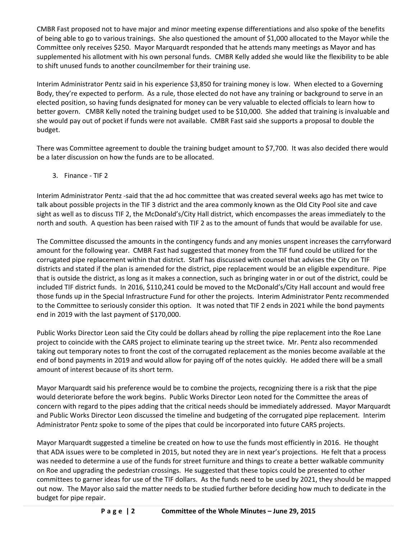CMBR Fast proposed not to have major and minor meeting expense differentiations and also spoke of the benefits of being able to go to various trainings. She also questioned the amount of \$1,000 allocated to the Mayor while the Committee only receives \$250. Mayor Marquardt responded that he attends many meetings as Mayor and has supplemented his allotment with his own personal funds. CMBR Kelly added she would like the flexibility to be able to shift unused funds to another councilmember for their training use.

Interim Administrator Pentz said in his experience \$3,850 for training money is low. When elected to a Governing Body, they're expected to perform. As a rule, those elected do not have any training or background to serve in an elected position, so having funds designated for money can be very valuable to elected officials to learn how to better govern. CMBR Kelly noted the training budget used to be \$10,000. She added that training is invaluable and she would pay out of pocket if funds were not available. CMBR Fast said she supports a proposal to double the budget.

There was Committee agreement to double the training budget amount to \$7,700. It was also decided there would be a later discussion on how the funds are to be allocated.

3. Finance ‐ TIF 2

Interim Administrator Pentz ‐said that the ad hoc committee that was created several weeks ago has met twice to talk about possible projects in the TIF 3 district and the area commonly known as the Old City Pool site and cave sight as well as to discuss TIF 2, the McDonald's/City Hall district, which encompasses the areas immediately to the north and south. A question has been raised with TIF 2 as to the amount of funds that would be available for use.

The Committee discussed the amounts in the contingency funds and any monies unspent increases the carryforward amount for the following year. CMBR Fast had suggested that money from the TIF fund could be utilized for the corrugated pipe replacement within that district. Staff has discussed with counsel that advises the City on TIF districts and stated if the plan is amended for the district, pipe replacement would be an eligible expenditure. Pipe that is outside the district, as long as it makes a connection, such as bringing water in or out of the district, could be included TIF district funds. In 2016, \$110,241 could be moved to the McDonald's/City Hall account and would free those funds up in the Special Infrastructure Fund for other the projects. Interim Administrator Pentz recommended to the Committee to seriously consider this option. It was noted that TIF 2 ends in 2021 while the bond payments end in 2019 with the last payment of \$170,000.

Public Works Director Leon said the City could be dollars ahead by rolling the pipe replacement into the Roe Lane project to coincide with the CARS project to eliminate tearing up the street twice. Mr. Pentz also recommended taking out temporary notes to front the cost of the corrugated replacement as the monies become available at the end of bond payments in 2019 and would allow for paying off of the notes quickly. He added there will be a small amount of interest because of its short term.

Mayor Marquardt said his preference would be to combine the projects, recognizing there is a risk that the pipe would deteriorate before the work begins. Public Works Director Leon noted for the Committee the areas of concern with regard to the pipes adding that the critical needs should be immediately addressed. Mayor Marquardt and Public Works Director Leon discussed the timeline and budgeting of the corrugated pipe replacement. Interim Administrator Pentz spoke to some of the pipes that could be incorporated into future CARS projects.

Mayor Marquardt suggested a timeline be created on how to use the funds most efficiently in 2016. He thought that ADA issues were to be completed in 2015, but noted they are in next year's projections. He felt that a process was needed to determine a use of the funds for street furniture and things to create a better walkable community on Roe and upgrading the pedestrian crossings. He suggested that these topics could be presented to other committees to garner ideas for use of the TIF dollars. As the funds need to be used by 2021, they should be mapped out now. The Mayor also said the matter needs to be studied further before deciding how much to dedicate in the budget for pipe repair.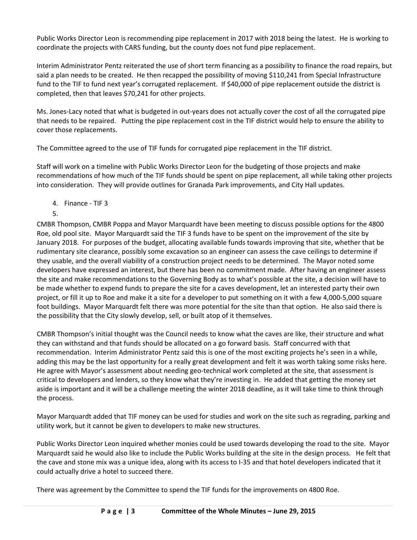Public Works Director Leon is recommending pipe replacement in 2017 with 2018 being the latest. He is working to coordinate the projects with CARS funding, but the county does not fund pipe replacement.

Interim Administrator Pentz reiterated the use of short term financing as a possibility to finance the road repairs, but said a plan needs to be created. He then recapped the possibility of moving \$110,241 from Special Infrastructure fund to the TIF to fund next year's corrugated replacement. If \$40,000 of pipe replacement outside the district is completed, then that leaves \$70,241 for other projects.

Ms. Jones‐Lacy noted that what is budgeted in out‐years does not actually cover the cost of all the corrugated pipe that needs to be repaired. Putting the pipe replacement cost in the TIF district would help to ensure the ability to cover those replacements.

The Committee agreed to the use of TIF funds for corrugated pipe replacement in the TIF district.

Staff will work on a timeline with Public Works Director Leon for the budgeting of those projects and make recommendations of how much of the TIF funds should be spent on pipe replacement, all while taking other projects into consideration. They will provide outlines for Granada Park improvements, and City Hall updates.

- 4. Finance ‐ TIF 3
- 5.

CMBR Thompson, CMBR Poppa and Mayor Marquardt have been meeting to discuss possible options for the 4800 Roe, old pool site. Mayor Marquardt said the TIF 3 funds have to be spent on the improvement of the site by January 2018. For purposes of the budget, allocating available funds towards improving that site, whether that be rudimentary site clearance, possibly some excavation so an engineer can assess the cave ceilings to determine if they usable, and the overall viability of a construction project needs to be determined. The Mayor noted some developers have expressed an interest, but there has been no commitment made. After having an engineer assess the site and make recommendations to the Governing Body as to what's possible at the site, a decision will have to be made whether to expend funds to prepare the site for a caves development, let an interested party their own project, or fill it up to Roe and make it a site for a developer to put something on it with a few 4,000‐5,000 square foot buildings. Mayor Marquardt felt there was more potential for the site than that option. He also said there is the possibility that the City slowly develop, sell, or built atop of it themselves.

CMBR Thompson's initial thought was the Council needs to know what the caves are like, their structure and what they can withstand and that funds should be allocated on a go forward basis. Staff concurred with that recommendation. Interim Administrator Pentz said this is one of the most exciting projects he's seen in a while, adding this may be the last opportunity for a really great development and felt it was worth taking some risks here. He agree with Mayor's assessment about needing geo-technical work completed at the site, that assessment is critical to developers and lenders, so they know what they're investing in. He added that getting the money set aside is important and it will be a challenge meeting the winter 2018 deadline, as it will take time to think through the process.

Mayor Marquardt added that TIF money can be used for studies and work on the site such as regrading, parking and utility work, but it cannot be given to developers to make new structures.

Public Works Director Leon inquired whether monies could be used towards developing the road to the site. Mayor Marquardt said he would also like to include the Public Works building at the site in the design process. He felt that the cave and stone mix was a unique idea, along with its access to I‐35 and that hotel developers indicated that it could actually drive a hotel to succeed there.

There was agreement by the Committee to spend the TIF funds for the improvements on 4800 Roe.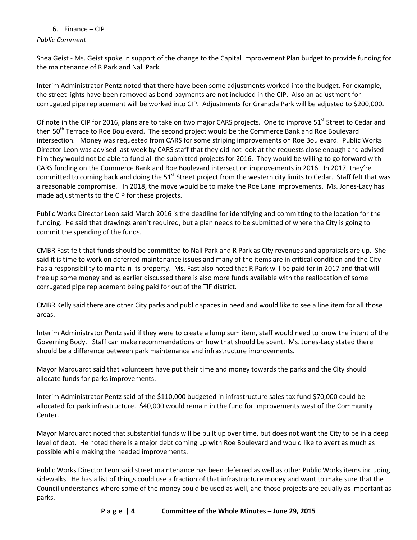## 6. Finance – CIP

*Public Comment*

Shea Geist ‐ Ms. Geist spoke in support of the change to the Capital Improvement Plan budget to provide funding for the maintenance of R Park and Nall Park.

Interim Administrator Pentz noted that there have been some adjustments worked into the budget. For example, the street lights have been removed as bond payments are not included in the CIP. Also an adjustment for corrugated pipe replacement will be worked into CIP. Adjustments for Granada Park will be adjusted to \$200,000.

Of note in the CIP for 2016, plans are to take on two major CARS projects. One to improve 51<sup>st</sup> Street to Cedar and then 50<sup>th</sup> Terrace to Roe Boulevard. The second project would be the Commerce Bank and Roe Boulevard intersection. Money was requested from CARS for some striping improvements on Roe Boulevard. Public Works Director Leon was advised last week by CARS staff that they did not look at the requests close enough and advised him they would not be able to fund all the submitted projects for 2016. They would be willing to go forward with CARS funding on the Commerce Bank and Roe Boulevard intersection improvements in 2016. In 2017, they're committed to coming back and doing the 51<sup>st</sup> Street project from the western city limits to Cedar. Staff felt that was a reasonable compromise. In 2018, the move would be to make the Roe Lane improvements. Ms. Jones-Lacy has made adjustments to the CIP for these projects.

Public Works Director Leon said March 2016 is the deadline for identifying and committing to the location for the funding. He said that drawings aren't required, but a plan needs to be submitted of where the City is going to commit the spending of the funds.

CMBR Fast felt that funds should be committed to Nall Park and R Park as City revenues and appraisals are up. She said it is time to work on deferred maintenance issues and many of the items are in critical condition and the City has a responsibility to maintain its property. Ms. Fast also noted that R Park will be paid for in 2017 and that will free up some money and as earlier discussed there is also more funds available with the reallocation of some corrugated pipe replacement being paid for out of the TIF district.

CMBR Kelly said there are other City parks and public spaces in need and would like to see a line item for all those areas.

Interim Administrator Pentz said if they were to create a lump sum item, staff would need to know the intent of the Governing Body. Staff can make recommendations on how that should be spent. Ms. Jones‐Lacy stated there should be a difference between park maintenance and infrastructure improvements.

Mayor Marquardt said that volunteers have put their time and money towards the parks and the City should allocate funds for parks improvements.

Interim Administrator Pentz said of the \$110,000 budgeted in infrastructure sales tax fund \$70,000 could be allocated for park infrastructure. \$40,000 would remain in the fund for improvements west of the Community Center.

Mayor Marquardt noted that substantial funds will be built up over time, but does not want the City to be in a deep level of debt. He noted there is a major debt coming up with Roe Boulevard and would like to avert as much as possible while making the needed improvements.

Public Works Director Leon said street maintenance has been deferred as well as other Public Works items including sidewalks. He has a list of things could use a fraction of that infrastructure money and want to make sure that the Council understands where some of the money could be used as well, and those projects are equally as important as parks.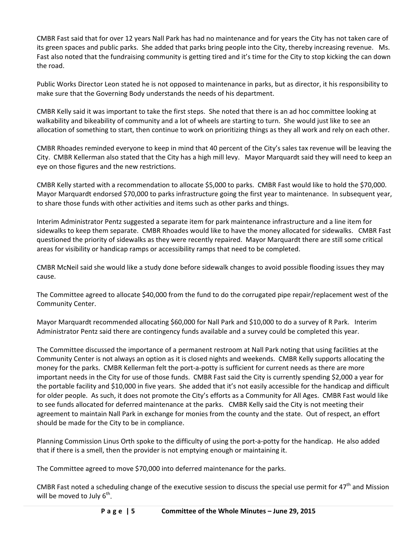CMBR Fast said that for over 12 years Nall Park has had no maintenance and for years the City has not taken care of its green spaces and public parks. She added that parks bring people into the City, thereby increasing revenue. Ms. Fast also noted that the fundraising community is getting tired and it's time for the City to stop kicking the can down the road.

Public Works Director Leon stated he is not opposed to maintenance in parks, but as director, it his responsibility to make sure that the Governing Body understands the needs of his department.

CMBR Kelly said it was important to take the first steps. She noted that there is an ad hoc committee looking at walkability and bikeability of community and a lot of wheels are starting to turn. She would just like to see an allocation of something to start, then continue to work on prioritizing things as they all work and rely on each other.

CMBR Rhoades reminded everyone to keep in mind that 40 percent of the City's sales tax revenue will be leaving the City. CMBR Kellerman also stated that the City has a high mill levy. Mayor Marquardt said they will need to keep an eye on those figures and the new restrictions.

CMBR Kelly started with a recommendation to allocate \$5,000 to parks. CMBR Fast would like to hold the \$70,000. Mayor Marquardt endorsed \$70,000 to parks infrastructure going the first year to maintenance. In subsequent year, to share those funds with other activities and items such as other parks and things.

Interim Administrator Pentz suggested a separate item for park maintenance infrastructure and a line item for sidewalks to keep them separate. CMBR Rhoades would like to have the money allocated for sidewalks. CMBR Fast questioned the priority of sidewalks as they were recently repaired. Mayor Marquardt there are still some critical areas for visibility or handicap ramps or accessibility ramps that need to be completed.

CMBR McNeil said she would like a study done before sidewalk changes to avoid possible flooding issues they may cause.

The Committee agreed to allocate \$40,000 from the fund to do the corrugated pipe repair/replacement west of the Community Center.

Mayor Marquardt recommended allocating \$60,000 for Nall Park and \$10,000 to do a survey of R Park. Interim Administrator Pentz said there are contingency funds available and a survey could be completed this year.

The Committee discussed the importance of a permanent restroom at Nall Park noting that using facilities at the Community Center is not always an option as it is closed nights and weekends. CMBR Kelly supports allocating the money for the parks. CMBR Kellerman felt the port-a-potty is sufficient for current needs as there are more important needs in the City for use of those funds. CMBR Fast said the City is currently spending \$2,000 a year for the portable facility and \$10,000 in five years. She added that it's not easily accessible for the handicap and difficult for older people. As such, it does not promote the City's efforts as a Community for All Ages. CMBR Fast would like to see funds allocated for deferred maintenance at the parks. CMBR Kelly said the City is not meeting their agreement to maintain Nall Park in exchange for monies from the county and the state. Out of respect, an effort should be made for the City to be in compliance.

Planning Commission Linus Orth spoke to the difficulty of using the port‐a‐potty for the handicap. He also added that if there is a smell, then the provider is not emptying enough or maintaining it.

The Committee agreed to move \$70,000 into deferred maintenance for the parks.

CMBR Fast noted a scheduling change of the executive session to discuss the special use permit for  $47<sup>th</sup>$  and Mission will be moved to July  $6<sup>th</sup>$ .